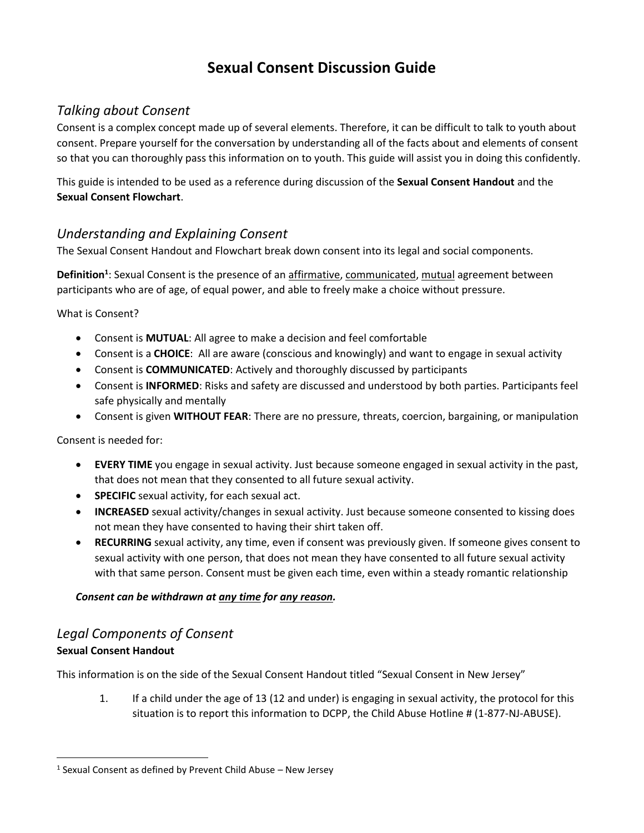# **Sexual Consent Discussion Guide**

# *Talking about Consent*

Consent is a complex concept made up of several elements. Therefore, it can be difficult to talk to youth about consent. Prepare yourself for the conversation by understanding all of the facts about and elements of consent so that you can thoroughly pass this information on to youth. This guide will assist you in doing this confidently.

This guide is intended to be used as a reference during discussion of the **Sexual Consent Handout** and the **Sexual Consent Flowchart**.

# *Understanding and Explaining Consent*

The Sexual Consent Handout and Flowchart break down consent into its legal and social components.

**Definition<sup>1</sup>** : Sexual Consent is the presence of an affirmative, communicated, mutual agreement between participants who are of age, of equal power, and able to freely make a choice without pressure.

What is Consent?

- Consent is **MUTUAL**: All agree to make a decision and feel comfortable
- Consent is a **CHOICE**: All are aware (conscious and knowingly) and want to engage in sexual activity
- Consent is **COMMUNICATED**: Actively and thoroughly discussed by participants
- Consent is **INFORMED**: Risks and safety are discussed and understood by both parties. Participants feel safe physically and mentally
- Consent is given **WITHOUT FEAR**: There are no pressure, threats, coercion, bargaining, or manipulation

Consent is needed for:

- **EVERY TIME** you engage in sexual activity. Just because someone engaged in sexual activity in the past, that does not mean that they consented to all future sexual activity.
- **SPECIFIC** sexual activity, for each sexual act.
- **INCREASED** sexual activity/changes in sexual activity. Just because someone consented to kissing does not mean they have consented to having their shirt taken off.
- **RECURRING** sexual activity, any time, even if consent was previously given. If someone gives consent to sexual activity with one person, that does not mean they have consented to all future sexual activity with that same person. Consent must be given each time, even within a steady romantic relationship

### *Consent can be withdrawn at any time for any reason.*

# *Legal Components of Consent*

# **Sexual Consent Handout**

 $\overline{\phantom{a}}$ 

This information is on the side of the Sexual Consent Handout titled "Sexual Consent in New Jersey"

1. If a child under the age of 13 (12 and under) is engaging in sexual activity, the protocol for this situation is to report this information to DCPP, the Child Abuse Hotline # (1-877-NJ-ABUSE).

 $<sup>1</sup>$  Sexual Consent as defined by Prevent Child Abuse – New Jersey</sup>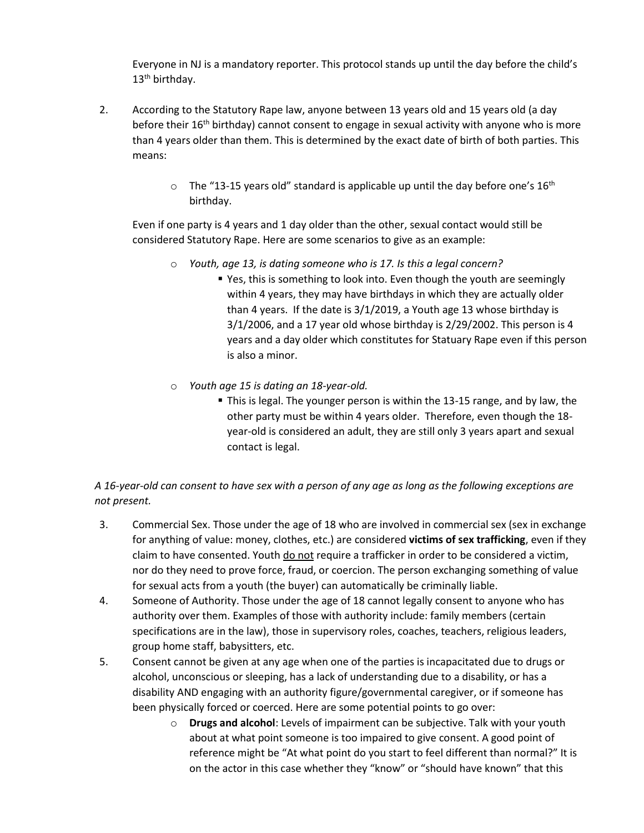Everyone in NJ is a mandatory reporter. This protocol stands up until the day before the child's 13<sup>th</sup> birthday.

- 2. According to the Statutory Rape law, anyone between 13 years old and 15 years old (a day before their  $16<sup>th</sup>$  birthday) cannot consent to engage in sexual activity with anyone who is more than 4 years older than them. This is determined by the exact date of birth of both parties. This means:
	- $\circ$  The "13-15 years old" standard is applicable up until the day before one's 16<sup>th</sup> birthday.

Even if one party is 4 years and 1 day older than the other, sexual contact would still be considered Statutory Rape. Here are some scenarios to give as an example:

- o *Youth, age 13, is dating someone who is 17. Is this a legal concern?* 
	- Yes, this is something to look into. Even though the youth are seemingly within 4 years, they may have birthdays in which they are actually older than 4 years. If the date is 3/1/2019, a Youth age 13 whose birthday is 3/1/2006, and a 17 year old whose birthday is 2/29/2002. This person is 4 years and a day older which constitutes for Statuary Rape even if this person is also a minor.
- o *Youth age 15 is dating an 18-year-old.*
	- This is legal. The younger person is within the 13-15 range, and by law, the other party must be within 4 years older. Therefore, even though the 18 year-old is considered an adult, they are still only 3 years apart and sexual contact is legal.

*A 16-year-old can consent to have sex with a person of any age as long as the following exceptions are not present.*

- 3. Commercial Sex. Those under the age of 18 who are involved in commercial sex (sex in exchange for anything of value: money, clothes, etc.) are considered **victims of sex trafficking**, even if they claim to have consented. Youth do not require a trafficker in order to be considered a victim, nor do they need to prove force, fraud, or coercion. The person exchanging something of value for sexual acts from a youth (the buyer) can automatically be criminally liable.
- 4. Someone of Authority. Those under the age of 18 cannot legally consent to anyone who has authority over them. Examples of those with authority include: family members (certain specifications are in the law), those in supervisory roles, coaches, teachers, religious leaders, group home staff, babysitters, etc.
- 5. Consent cannot be given at any age when one of the parties is incapacitated due to drugs or alcohol, unconscious or sleeping, has a lack of understanding due to a disability, or has a disability AND engaging with an authority figure/governmental caregiver, or if someone has been physically forced or coerced. Here are some potential points to go over:
	- o **Drugs and alcohol**: Levels of impairment can be subjective. Talk with your youth about at what point someone is too impaired to give consent. A good point of reference might be "At what point do you start to feel different than normal?" It is on the actor in this case whether they "know" or "should have known" that this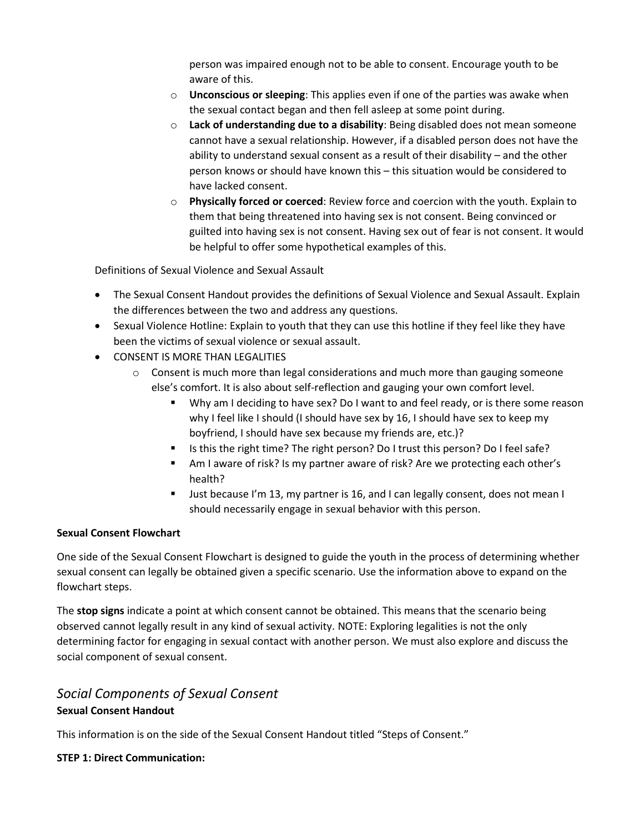person was impaired enough not to be able to consent. Encourage youth to be aware of this.

- o **Unconscious or sleeping**: This applies even if one of the parties was awake when the sexual contact began and then fell asleep at some point during.
- o **Lack of understanding due to a disability**: Being disabled does not mean someone cannot have a sexual relationship. However, if a disabled person does not have the ability to understand sexual consent as a result of their disability – and the other person knows or should have known this – this situation would be considered to have lacked consent.
- o **Physically forced or coerced**: Review force and coercion with the youth. Explain to them that being threatened into having sex is not consent. Being convinced or guilted into having sex is not consent. Having sex out of fear is not consent. It would be helpful to offer some hypothetical examples of this.

Definitions of Sexual Violence and Sexual Assault

- The Sexual Consent Handout provides the definitions of Sexual Violence and Sexual Assault. Explain the differences between the two and address any questions.
- Sexual Violence Hotline: Explain to youth that they can use this hotline if they feel like they have been the victims of sexual violence or sexual assault.
- **CONSENT IS MORE THAN LEGALITIES** 
	- $\circ$  Consent is much more than legal considerations and much more than gauging someone else's comfort. It is also about self-reflection and gauging your own comfort level.
		- Why am I deciding to have sex? Do I want to and feel ready, or is there some reason why I feel like I should (I should have sex by 16, I should have sex to keep my boyfriend, I should have sex because my friends are, etc.)?
		- Is this the right time? The right person? Do I trust this person? Do I feel safe?
		- Am I aware of risk? Is my partner aware of risk? Are we protecting each other's health?
		- Just because I'm 13, my partner is 16, and I can legally consent, does not mean I should necessarily engage in sexual behavior with this person.

#### **Sexual Consent Flowchart**

One side of the Sexual Consent Flowchart is designed to guide the youth in the process of determining whether sexual consent can legally be obtained given a specific scenario. Use the information above to expand on the flowchart steps.

The **stop signs** indicate a point at which consent cannot be obtained. This means that the scenario being observed cannot legally result in any kind of sexual activity. NOTE: Exploring legalities is not the only determining factor for engaging in sexual contact with another person. We must also explore and discuss the social component of sexual consent.

# *Social Components of Sexual Consent* **Sexual Consent Handout**

This information is on the side of the Sexual Consent Handout titled "Steps of Consent."

### **STEP 1: Direct Communication:**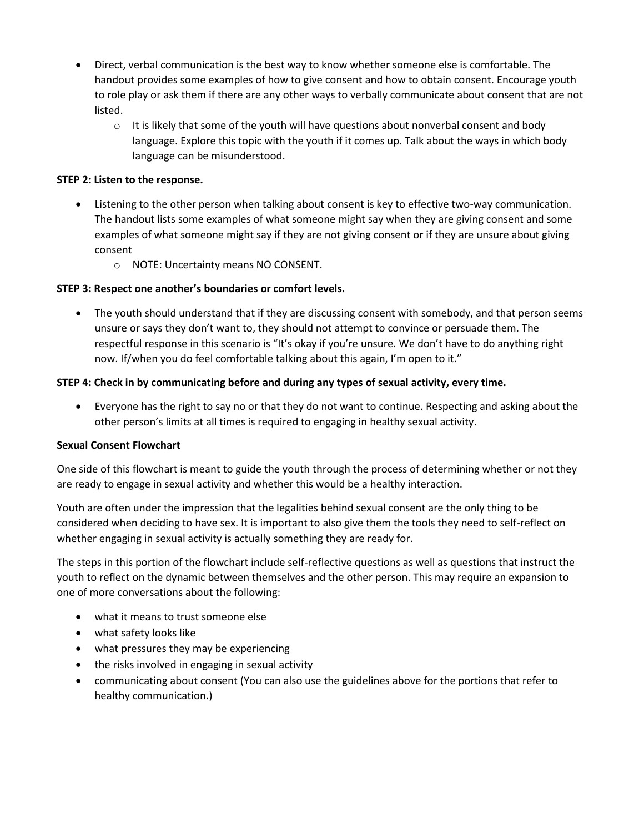- Direct, verbal communication is the best way to know whether someone else is comfortable. The handout provides some examples of how to give consent and how to obtain consent. Encourage youth to role play or ask them if there are any other ways to verbally communicate about consent that are not listed.
	- $\circ$  It is likely that some of the youth will have questions about nonverbal consent and body language. Explore this topic with the youth if it comes up. Talk about the ways in which body language can be misunderstood.

### **STEP 2: Listen to the response.**

- Listening to the other person when talking about consent is key to effective two-way communication. The handout lists some examples of what someone might say when they are giving consent and some examples of what someone might say if they are not giving consent or if they are unsure about giving consent
	- o NOTE: Uncertainty means NO CONSENT.

#### **STEP 3: Respect one another's boundaries or comfort levels.**

• The youth should understand that if they are discussing consent with somebody, and that person seems unsure or says they don't want to, they should not attempt to convince or persuade them. The respectful response in this scenario is "It's okay if you're unsure. We don't have to do anything right now. If/when you do feel comfortable talking about this again, I'm open to it."

#### **STEP 4: Check in by communicating before and during any types of sexual activity, every time.**

 Everyone has the right to say no or that they do not want to continue. Respecting and asking about the other person's limits at all times is required to engaging in healthy sexual activity.

#### **Sexual Consent Flowchart**

One side of this flowchart is meant to guide the youth through the process of determining whether or not they are ready to engage in sexual activity and whether this would be a healthy interaction.

Youth are often under the impression that the legalities behind sexual consent are the only thing to be considered when deciding to have sex. It is important to also give them the tools they need to self-reflect on whether engaging in sexual activity is actually something they are ready for.

The steps in this portion of the flowchart include self-reflective questions as well as questions that instruct the youth to reflect on the dynamic between themselves and the other person. This may require an expansion to one of more conversations about the following:

- what it means to trust someone else
- what safety looks like
- what pressures they may be experiencing
- the risks involved in engaging in sexual activity
- communicating about consent (You can also use the guidelines above for the portions that refer to healthy communication.)